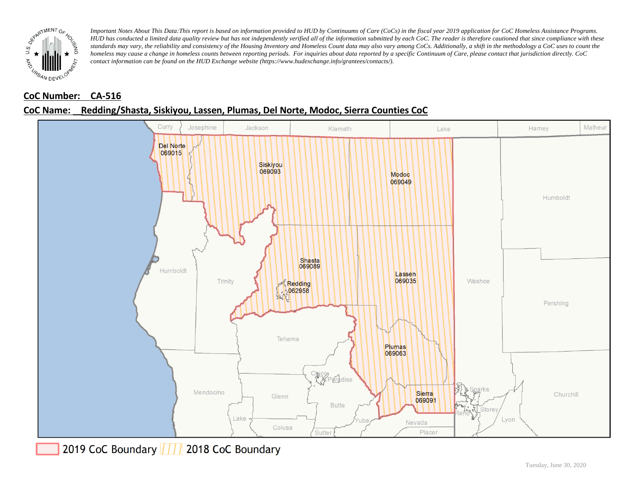

## **CoC Number: CA-516**

## **CoC Name: \_\_ Redding/Shasta, Siskiyou, Lassen, Plumas, Del Norte, Modoc, Sierra Counties CoC**



2019 CoC Boundary | | | 2018 CoC Boundary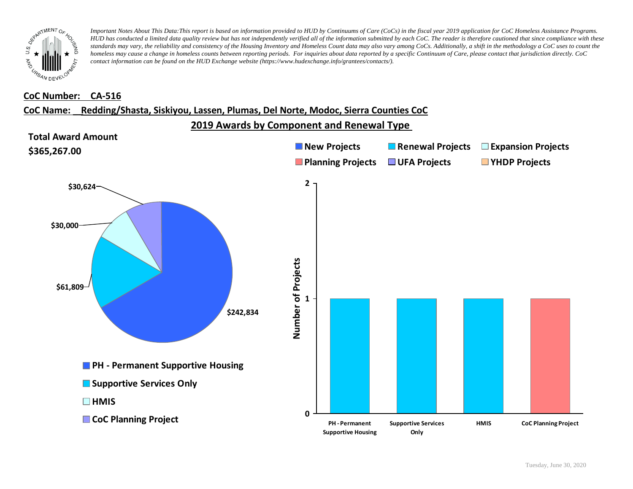

#### **CoC Number: CA-516**

#### **CoC Name: \_\_ Redding/Shasta, Siskiyou, Lassen, Plumas, Del Norte, Modoc, Sierra Counties CoC**

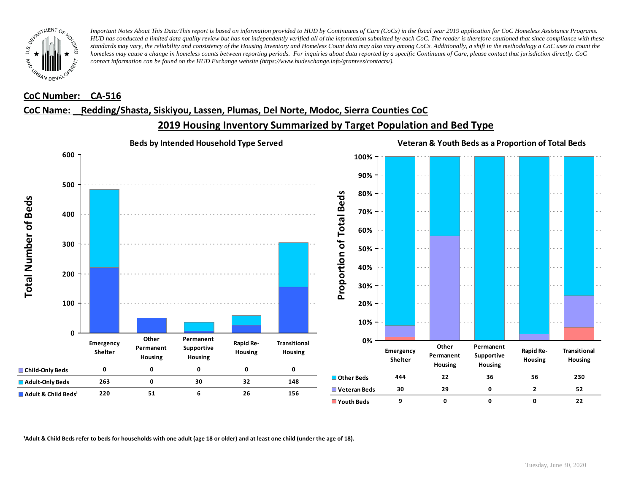

#### **CoC Number: CA-516**

#### **CoC Name: \_\_ Redding/Shasta, Siskiyou, Lassen, Plumas, Del Norte, Modoc, Sierra Counties CoC**



# **2019 Housing Inventory Summarized by Target Population and Bed Type**

<sup>1</sup> Adult & Child Beds refer to beds for households with one adult (age 18 or older) and at least one child (under the age of 18).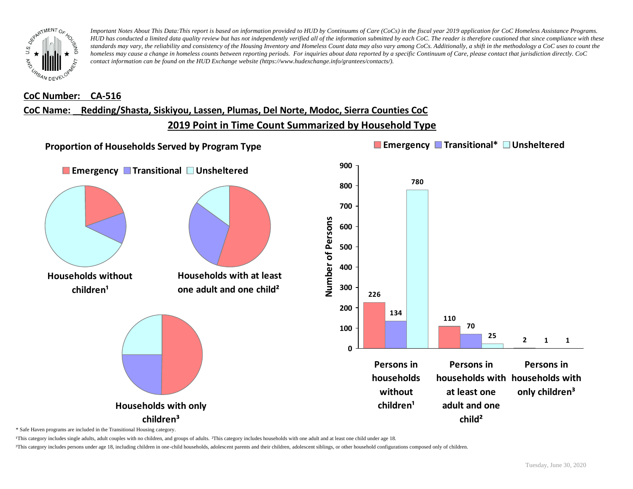

#### **CoC Number: CA-516**

# **CoC Name: \_\_ Redding/Shasta, Siskiyou, Lassen, Plumas, Del Norte, Modoc, Sierra Counties CoC**

**2019 Point in Time Count Summarized by Household Type**



\* Safe Haven programs are included in the Transitional Housing category.

¹This category includes single adults, adult couples with no children, and groups of adults. ²This category includes households with one adult and at least one child under age 18.

³This category includes persons under age 18, including children in one-child households, adolescent parents and their children, adolescent siblings, or other household configurations composed only of children.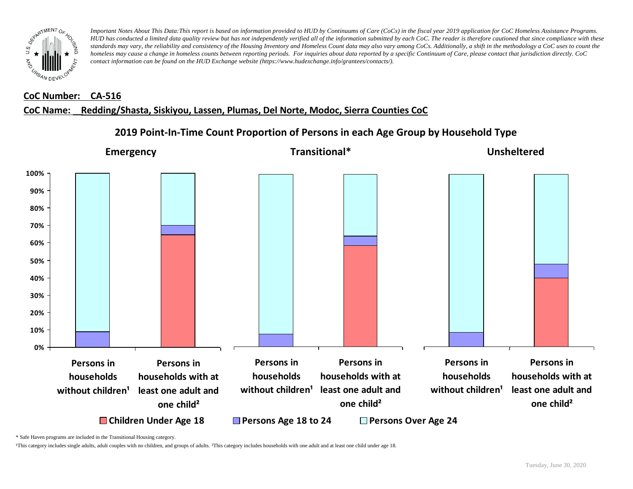

#### **CoC Number: CA-516**

#### **CoC Name: \_\_ Redding/Shasta, Siskiyou, Lassen, Plumas, Del Norte, Modoc, Sierra Counties CoC**



# **2019 Point-In-Time Count Proportion of Persons in each Age Group by Household Type**

\* Safe Haven programs are included in the Transitional Housing category.

¹This category includes single adults, adult couples with no children, and groups of adults. ²This category includes households with one adult and at least one child under age 18.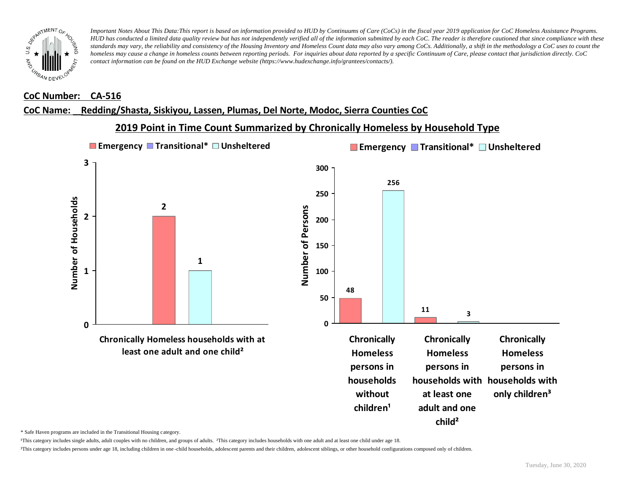

#### **CoC Number: CA-516**

#### **CoC Name: \_\_ Redding/Shasta, Siskiyou, Lassen, Plumas, Del Norte, Modoc, Sierra Counties CoC**

### **2019 Point in Time Count Summarized by Chronically Homeless by Household Type**



\* Safe Haven programs are included in the Transitional Housing category.

¹This category includes single adults, adult couples with no children, and groups of adults. ²This category includes households with one adult and at least one child under age 18.

³This category includes persons under age 18, including children in one -child households, adolescent parents and their children, adolescent siblings, or other household configurations composed only of children.